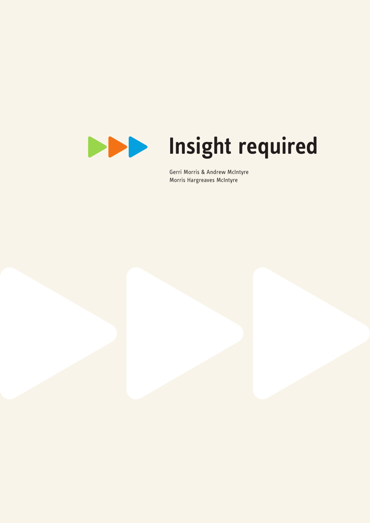

# **Insight required**

 Gerri Morris & Andrew McIntyre Morris Hargreaves McIntyre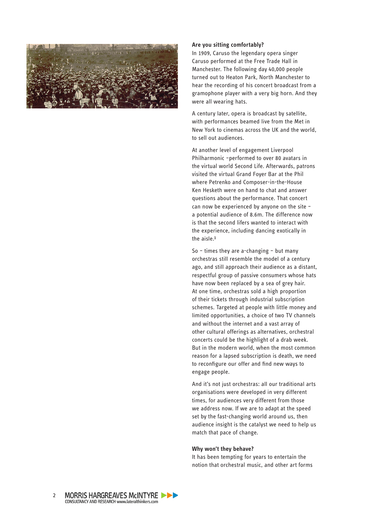

### **Are you sitting comfortably?**

In 1909, Caruso the legendary opera singer Caruso performed at the Free Trade Hall in Manchester. The following day 40,000 people turned out to Heaton Park, North Manchester to hear the recording of his concert broadcast from a gramophone player with a very big horn. And they were all wearing hats.

A century later, opera is broadcast by satellite, with performances beamed live from the Met in New York to cinemas across the UK and the world, to sell out audiences.

At another level of engagement Liverpool Philharmonic –performed to over 80 avatars in the virtual world Second Life. Afterwards, patrons visited the virtual Grand Foyer Bar at the Phil where Petrenko and Composer-in-the-House Ken Hesketh were on hand to chat and answer questions about the performance. That concert can now be experienced by anyone on the site – a potential audience of 8.6m. The difference now is that the second lifers wanted to interact with the experience, including dancing exotically in the aisle.<sup>1</sup>

So – times they are a-changing – but many orchestras still resemble the model of a century ago, and still approach their audience as a distant, respectful group of passive consumers whose hats have now been replaced by a sea of grey hair. At one time, orchestras sold a high proportion of their tickets through industrial subscription schemes. Targeted at people with little money and limited opportunities, a choice of two TV channels and without the internet and a vast array of other cultural offerings as alternatives, orchestral concerts could be the highlight of a drab week. But in the modern world, when the most common reason for a lapsed subscription is death, we need to reconfigure our offer and find new ways to engage people.

And it's not just orchestras: all our traditional arts organisations were developed in very different times, for audiences very different from those we address now. If we are to adapt at the speed set by the fast-changing world around us, then audience insight is the catalyst we need to help us match that pace of change.

## **Why won't they behave?**

It has been tempting for years to entertain the notion that orchestral music, and other art forms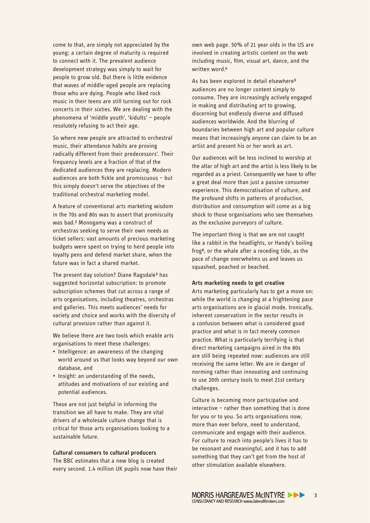come to that, are simply not appreciated by the young: a certain degree of maturity is required to connect with it. The prevalent audience development strategy was simply to wait for people to grow old. But there is little evidence that waves of middle-aged people are replacing those who are dying. People who liked rock music in their teens are still turning out for rock concerts in their sixties. We are dealing with the phenomena of 'middle youth', 'kidults' – people resolutely refusing to act their age.

So where new people are attracted to orchestral music, their attendance habits are proving radically different from their predecessors'. Their frequency levels are a fraction of that of the dedicated audiences they are replacing. Modern audiences are both fickle and promiscuous - but this simply doesn't serve the objectives of the traditional orchestral marketing model.

A feature of conventional arts marketing wisdom in the 70s and 80s was to assert that promiscuity was bad.<sup>2</sup> Monogamy was a construct of orchestras seeking to serve their own needs as ticket sellers: vast amounts of precious marketing budgets were spent on trying to herd people into loyalty pens and defend market share, when the future was in fact a shared market.

The present day solution? Diane Ragsdale<sup>3</sup> has suggested horizontal subscription: to promote subscription schemes that cut across a range of arts organisations, including theatres, orchestras and galleries. This meets audiences' needs for variety and choice and works with the diversity of cultural provision rather than against it.

We believe there are two tools which enable arts organisations to meet these challenges:

- Intelligence: an awareness of the changing world around us that looks way beyond our own database, and
- Insight: an understanding of the needs, attitudes and motivations of our existing and potential audiences.

These are not just helpful in informing the transition we all have to make. They are vital drivers of a wholesale culture change that is critical for those arts organisations looking to a sustainable future.

**Cultural consumers to cultural producers** The BBC estimates that a new blog is created every second. 1.4 million UK pupils now have their

own web page. 50% of 21 year olds in the US are involved in creating artistic content on the web including music, film, visual art, dance, and the written word.<sup>4</sup>

As has been explored in detail elsewhere<sup>5</sup> audiences are no longer content simply to consume. They are increasingly actively engaged in making and distributing art to growing, discerning but endlessly diverse and diffused audiences worldwide. And the blurring of boundaries between high art and popular culture means that increasingly anyone can claim to be an artist and present his or her work as art.

Our audiences will be less inclined to worship at the altar of high art and the artist is less likely to be regarded as a priest. Consequently we have to offer a great deal more than just a passive consumer experience. This democratisation of culture, and the profound shifts in patterns of production, distribution and consumption will come as a big shock to those organisations who see themselves as the exclusive purveyors of culture.

The important thing is that we are not caught like a rabbit in the headlights, or Handy's boiling frog<sup>6</sup>, or the whale after a receding tide, as the pace of change overwhelms us and leaves us squashed, poached or beached.

# **Arts marketing needs to get creative**

Arts marketing particularly has to get a move on: while the world is changing at a frightening pace arts organisations are in glacial mode. Ironically, inherent conservatism in the sector results in a confusion between what is considered good practice and what is in fact merely common practice. What is particularly terrifying is that direct marketing campaigns aired in the 80s are still being repeated now: audiences are still receiving the same letter. We are in danger of norming rather than innovating and continuing to use 20th century tools to meet 21st century challenges.

Culture is becoming more participative and interactive – rather than something that is done for you or to you. So arts organisations now, more than ever before, need to understand, communicate and engage with their audience. For culture to reach into people's lives it has to be resonant and meaningful, and it has to add something that they can't get from the host of other stimulation available elsewhere.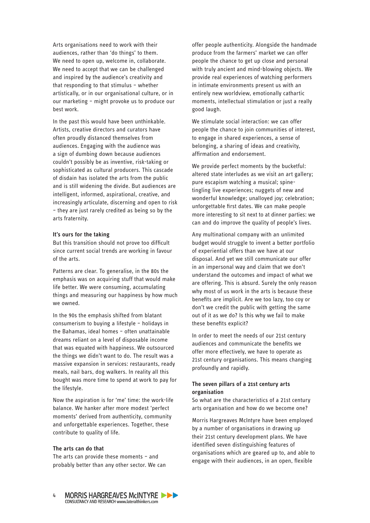Arts organisations need to work with their audiences, rather than 'do things' to them. We need to open up, welcome in, collaborate. We need to accept that we can be challenged and inspired by the audience's creativity and that responding to that stimulus – whether artistically, or in our organisational culture, or in our marketing – might provoke us to produce our best work.

In the past this would have been unthinkable. Artists, creative directors and curators have often proudly distanced themselves from audiences. Engaging with the audience was a sign of dumbing down because audiences couldn't possibly be as inventive, risk-taking or sophisticated as cultural producers. This cascade of disdain has isolated the arts from the public and is still widening the divide. But audiences are intelligent, informed, aspirational, creative, and increasingly articulate, discerning and open to risk – they are just rarely credited as being so by the arts fraternity.

### **It's ours for the taking**

But this transition should not prove too difficult since current social trends are working in favour of the arts.

Patterns are clear. To generalise, in the 80s the emphasis was on acquiring stuff that would make life better. We were consuming, accumulating things and measuring our happiness by how much we owned.

In the 90s the emphasis shifted from blatant consumerism to buying a lifestyle – holidays in the Bahamas, ideal homes – often unattainable dreams reliant on a level of disposable income that was equated with happiness. We outsourced the things we didn't want to do. The result was a massive expansion in services: restaurants, ready meals, nail bars, dog walkers. In reality all this bought was more time to spend at work to pay for the lifestyle.

Now the aspiration is for 'me' time: the work-life balance. We hanker after more modest 'perfect moments' derived from authenticity, community and unforgettable experiences. Together, these contribute to quality of life.

#### **The arts can do that**

The arts can provide these moments – and probably better than any other sector. We can

offer people authenticity. Alongside the handmade produce from the farmers' market we can offer people the chance to get up close and personal with truly ancient and mind-blowing objects. We provide real experiences of watching performers in intimate environments present us with an entirely new worldview, emotionally cathartic moments, intellectual stimulation or just a really good laugh.

We stimulate social interaction: we can offer people the chance to join communities of interest, to engage in shared experiences, a sense of belonging, a sharing of ideas and creativity, affirmation and endorsement.

We provide perfect moments by the bucketful: altered state interludes as we visit an art gallery; pure escapism watching a musical; spinetingling live experiences; nuggets of new and wonderful knowledge; unalloyed joy; celebration; unforgettable first dates. We can make people more interesting to sit next to at dinner parties: we can and do improve the quality of people's lives.

Any multinational company with an unlimited budget would struggle to invent a better portfolio of experiential offers than we have at our disposal. And yet we still communicate our offer in an impersonal way and claim that we don't understand the outcomes and impact of what we are offering. This is absurd. Surely the only reason why most of us work in the arts is because these benefits are implicit. Are we too lazy, too coy or don't we credit the public with getting the same out of it as we do? Is this why we fail to make these benefits explicit?

In order to meet the needs of our 21st century audiences and communicate the benefits we offer more effectively, we have to operate as 21st century organisations. This means changing profoundly and rapidly.

# **The seven pillars of a 21st century arts organisation**

So what are the characteristics of a 21st century arts organisation and how do we become one?

Morris Hargreaves McIntyre have been employed by a number of organisations in drawing up their 21st century development plans. We have identified seven distinguishing features of organisations which are geared up to, and able to engage with their audiences, in an open, flexible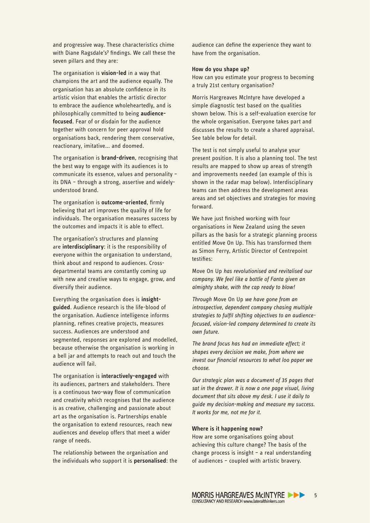and progressive way. These characteristics chime with Diane Ragsdale's<sup>7</sup> findings. We call these the seven pillars and they are:

The organisation is **vision-led** in a way that champions the art and the audience equally. The organisation has an absolute confidence in its artistic vision that enables the artistic director to embrace the audience wholeheartedly, and is philosophically committed to being **audiencefocused**. Fear of or disdain for the audience together with concern for peer approval hold organisations back, rendering them conservative, reactionary, imitative... and doomed.

The organisation is **brand-driven**, recognising that the best way to engage with its audiences is to communicate its essence, values and personality – its DNA – through a strong, assertive and widelyunderstood brand.

The organisation is **outcome-oriented**, firmly believing that art improves the quality of life for individuals. The organisation measures success by the outcomes and impacts it is able to effect.

The organisation's structures and planning are **interdisciplinary**: it is the responsibility of everyone within the organisation to understand, think about and respond to audiences. Crossdepartmental teams are constantly coming up with new and creative ways to engage, grow, and diversify their audience.

Everything the organisation does is **insightguided**. Audience research is the life-blood of the organisation. Audience intelligence informs planning, refines creative projects, measures success. Audiences are understood and segmented, responses are explored and modelled, because otherwise the organisation is working in a bell jar and attempts to reach out and touch the audience will fail.

The organisation is **interactively-engaged** with its audiences, partners and stakeholders. There is a continuous two-way flow of communication and creativity which recognises that the audience is as creative, challenging and passionate about art as the organisation is. Partnerships enable the organisation to extend resources, reach new audiences and develop offers that meet a wider range of needs.

The relationship between the organisation and the individuals who support it is **personalised**: the audience can define the experience they want to have from the organisation.

#### **How do you shape up?**

How can you estimate your progress to becoming a truly 21st century organisation?

Morris Hargreaves McIntyre have developed a simple diagnostic test based on the qualities shown below. This is a self-evaluation exercise for the whole organisation. Everyone takes part and discusses the results to create a shared appraisal. See table below for detail.

The test is not simply useful to analyse your present position. It is also a planning tool. The test results are mapped to show up areas of strength and improvements needed (an example of this is shown in the radar map below). Interdisciplinary teams can then address the development areas areas and set objectives and strategies for moving forward.

We have just finished working with four organisations in New Zealand using the seven pillars as the basis for a strategic planning process entitled Move On Up. This has transformed them as Simon Ferry, Artistic Director of Centrepoint testifies:

Move On Up *has revolutionised and revitalised our company. We feel like a bottle of Fanta given an almighty shake, with the cap ready to blow!*

*Through* Move On Up *we have gone from an introspective, dependent company chasing multiple*  strategies to fulfil shifting objectives to an audience*focused, vision-led company determined to create its own future.* 

*The brand focus has had an immediate effect; it shapes every decision we make, from where we*  invest our financial resources to what loo paper we *choose.* 

*Our strategic plan was a document of 35 pages that sat in the drawer. It is now a one page visual, living document that sits above my desk. I use it daily to guide my decision-making and measure my success. It works for me, not me for it.*

#### **Where is it happening now?**

How are some organisations going about achieving this culture change? The basis of the change process is insight – a real understanding of audiences – coupled with artistic bravery.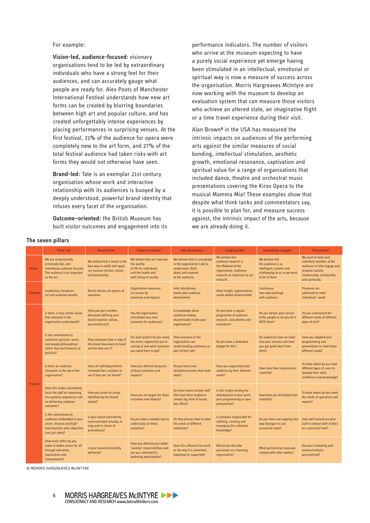For example:

Vision-led, audience-focused: visionary organisations tend to be led by extraordinary individuals who have a strong feel for their audiences, and can accurately gauge what people are ready for. Alex Poots of Manchester International Festival understands how new art forms can be created by blurring boundaries between high art and popular culture, and has created unforgettably intense experiences by placing performances in surprising venues. At the first festival, 21% of the audience for opera were completely new to the art form, and 27% of the total festival audience had taken risks with art forms they would not otherwise have seen.

Brand-led: Tate is an exemplar 21st century organisation whose work and interactive relationship with its audiences is buoyed by a deeply understood, powerful brand identity that infuses every facet of the organisation.

Outcome-oriented: the British Museum has built visitor outcomes and engagement into its

performance indicators. The number of visitors who arrive at the museum expecting to have a purely social experience vet emerge having been stimulated in an intellectual, emotional or spiritual way is now a measure of success across the organisation. Morris Hargreaves McIntyre are now working with the museum to develop an evaluation system that can measure those visitors who achieve an altered state, an imaginative flight or a time travel experience during their visit.

Alan Brown<sup>8</sup> in the USA has measured the intrinsic impacts on audiences of the performing arts against the similar measures of social bonding, intellectual stimulation, aesthetic growth, emotional resonance, captivation and spiritual value for a range of organisations that included dance, theatre and orchestral music presentations covering the Kirov Opera to the musical Mamma Mia! These examples show that despite what think tanks and commentators say. it is possible to plan for, and measure success against, the intrinsic impact of the arts, because we are already doing it.

|                 | Vision-led                                                                                                                             | <b>Brand-driven</b>                                                                                                | Outcome-oriented                                                                                                       | Inter-disciplinary                                                                                                           | Insight-guided                                                                                                                         | Interactively-engaged                                                                                               | Personalised                                                                                                                                             |
|-----------------|----------------------------------------------------------------------------------------------------------------------------------------|--------------------------------------------------------------------------------------------------------------------|------------------------------------------------------------------------------------------------------------------------|------------------------------------------------------------------------------------------------------------------------------|----------------------------------------------------------------------------------------------------------------------------------------|---------------------------------------------------------------------------------------------------------------------|----------------------------------------------------------------------------------------------------------------------------------------------------------|
| <b>Values</b>   | We are unequivocally<br>artistically-led, and<br>relentlessly audience focused.<br>The audience is as important<br>as the art.         | We believe that a brand is the<br>best way to codify and apply<br>our essence (vision), values<br>and personality. | We believe that art improves<br>the quality<br>of life for individuals<br>and the health and<br>well-being of society. | We believe that it's everybody<br>in the organisation's job to<br>understand, think<br>about and respond<br>to the audience. | We believe that<br>audience research is<br>the lifeblood of the<br>organisation. Audience<br>research as important as art<br>research. | We believe that<br>the audience is as<br>intelligent, creative and<br>challenging to us as we want<br>to be to them | We want to help each<br>individual member of the<br>audience to fully engage and<br>respond socially,<br>intellectually, emotionally<br>and spiritually. |
| <b>Features</b> | Leadership champions<br>art and audience equally                                                                                       | Brand informs all aspects of<br>operation                                                                          | <b>Organisation measures</b><br>its success by<br>outcomes and impacts                                                 | Inter-disciplinary<br>teams plan audience<br>development                                                                     | Deep insight, segmentation,<br>needs widely disseminated                                                                               | Continuous<br>two-way exchange<br>with audience                                                                     | Processes are<br>optimised to meet<br>individuals' needs                                                                                                 |
| Practice        | Is there a clear artistic vision<br>that everyone in the<br>organisation understands?                                                  | Have you got a written<br>document defining your<br>brand (essence, values,<br>personality etc)?                   | Has the organisation<br>articulated very clear<br>outcomes for audiences?                                              | Is knowledge about<br>audiences widely<br>disseminated inside your<br>organisation?                                          | Do you have a regular<br>programme of audience<br>research, consultation and<br>evaluation?                                            | Do you deliver your service<br>to/for people or do you do it<br>WITH them?                                          | Do you understand the<br>different needs of different<br>types of visit?                                                                                 |
|                 | Is the commitment to<br>audiences genuine, warm<br>and deeply philosophical<br>rather than just financial or<br>political?             | Does everyone have a copy of<br>this brand document to hand<br>and do they use it?                                 | For each project do you name<br>the visitor segment(s) you're<br>aiming at and what outcomes<br>you want them to get?  | Does everyone in the<br>organisation see<br>understanding audiences as<br>part of their job?                                 | Do you have a dedicated<br>budget for this?                                                                                            | Do audiences have an input<br>into your services and have<br>you got good ideas from<br>them?                       | Have you adapted your<br>programming and<br>presentation to meet these<br>different needs?                                                               |
|                 | Is there an audience<br>champion at the top of the<br>organisation?                                                                    | Have all staff/departments<br>reviewed their activities to<br>see if they are 'on-brand'?                          | Have you defined measures<br>of these outcomes and<br>impacts?                                                         | Do you have cross<br>disciplinary teams that meet<br>often?                                                                  | Have you segmented your<br>audience by their different<br>needs?                                                                       | How have they inspired your<br>creativity?                                                                          | To what extent do you help<br>different types of users to<br>develop their skills,<br>confidence and knowledge?                                          |
|                 | Does this leader consistently<br>focus the staff on improving<br>the audience experience and<br>on delivering audience<br>outcomes?    | Have you acted on issues<br>identified by this brand<br>review?                                                    | Have you set targets for these<br>outcomes and impacts?                                                                | Do these teams include staff<br>that have direct audience<br>contact (eg front of house,<br>box office)?                     | Is this insight driving the<br>development of your work,<br>your programming or your<br>presentation?                                  | How have you facilitated their<br>creativity?                                                                       | To what extent do you meet<br>the needs of specialists and<br>experts?                                                                                   |
|                 | Is the commitment to<br>audiences embedded in your<br>vision, mission and high-<br>level business plan objectives<br>(not just sales)? | Is your brand consistently<br>communicated (visually, in<br>copy and in choice of<br>promotions)?                  | Do you have a reliable way to<br>collect data on these<br>outcomes?                                                    | Do they discuss how to meet<br>the needs of different<br>audiences?                                                          | Is someone responsible for<br>collating, curating and<br>managing this collective<br>knowledge?                                        | Do you have real ongoing two-<br>way dialogue or just<br>occasional input?                                          | How well trained are your<br>staff to interact with visitors<br>on a personal level?                                                                     |
|                 | How much effort do you<br>make to widen access for all<br>through education,<br>explanation and<br>interpretation?                     | Is your brand consistently<br>delivered?                                                                           | Have you defined your wider<br>'societal' responsibilities and<br>are you commited to<br>widening participation?       | Does this influence the work<br>or the way it is presented,<br>explained or supported?                                       | Would you describe<br>vourselves as a learning<br>organisation?                                                                        | What partnerships have you<br>created with other bodies?                                                            | Are your marketing and<br>communications<br>personalised?                                                                                                |

# The seven pillars

© MORRIS HARGREAVES McINTYRF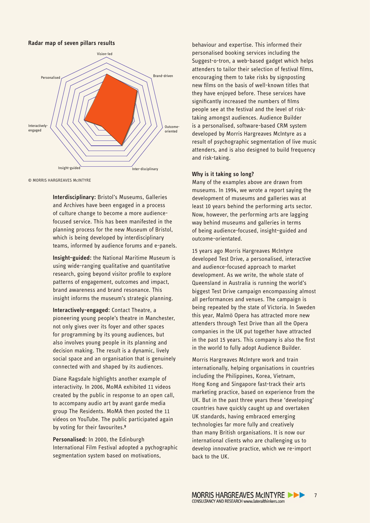

© MORRIS HARGREAVES McINTYRE

**Interdisciplinary:** Bristol's Museums, Galleries and Archives have been engaged in a process of culture change to become a more audiencefocused service. This has been manifested in the planning process for the new Museum of Bristol, which is being developed by interdisciplinary teams, informed by audience forums and e-panels.

**Insight-guided:** the National Maritime Museum is using wide-ranging qualitative and quantitative research, going beyond visitor profile to explore patterns of engagement, outcomes and impact, brand awareness and brand resonance. This insight informs the museum's strategic planning.

**Interactively-engaged:** Contact Theatre, a pioneering young people's theatre in Manchester, not only gives over its foyer and other spaces for programming by its young audiences, but also involves young people in its planning and decision making. The result is a dynamic, lively social space and an organisation that is genuinely connected with and shaped by its audiences.

Diane Ragsdale highlights another example of interactivity. In 2006, MoMA exhibited 11 videos created by the public in response to an open call, to accompany audio art by avant garde media group The Residents. MoMA then posted the 11 videos on YouTube. The public participated again by voting for their favourites.<sup>9</sup>

**Personalised:** In 2000, the Edinburgh International Film Festival adopted a pychographic segmentation system based on motivations,

behaviour and expertise. This informed their personalised booking services including the Suggest-o-tron, a web-based gadget which helps attenders to tailor their selection of festival films, encouraging them to take risks by signposting new films on the basis of well-known titles that they have enjoyed before. These services have significantly increased the numbers of films people see at the festival and the level of risktaking amongst audiences. Audience Builder is a personalised, software-based CRM system developed by Morris Hargreaves McIntyre as a result of psychographic segmentation of live music attenders, and is also designed to build frequency and risk-taking.

#### **Why is it taking so long?**

Many of the examples above are drawn from museums. In 1994, we wrote a report saying the development of museums and galleries was at least 10 years behind the performing arts sector. Now, however, the performing arts are lagging way behind museums and galleries in terms of being audience-focused, insight–guided and outcome-orientated.

15 years ago Morris Hargreaves McIntyre developed Test Drive, a personalised, interactive and audience-focused approach to market development. As we write, the whole state of Queensland in Australia is running the world's biggest Test Drive campaign encompassing almost all performances and venues. The campaign is being repeated by the state of Victoria. In Sweden this year, Malmö Opera has attracted more new attenders through Test Drive than all the Opera companies in the UK put together have attracted in the past 15 years. This company is also the first in the world to fully adopt Audience Builder.

Morris Hargreaves McIntyre work and train internationally, helping organisations in countries including the Philippines, Korea, Vietnam, Hong Kong and Singapore fast-track their arts marketing practice, based on experience from the UK. But in the past three years these 'developing' countries have quickly caught up and overtaken UK standards, having embraced emerging technologies far more fully and creatively than many British organisations. It is now our international clients who are challenging us to develop innovative practice, which we re-import back to the UK.